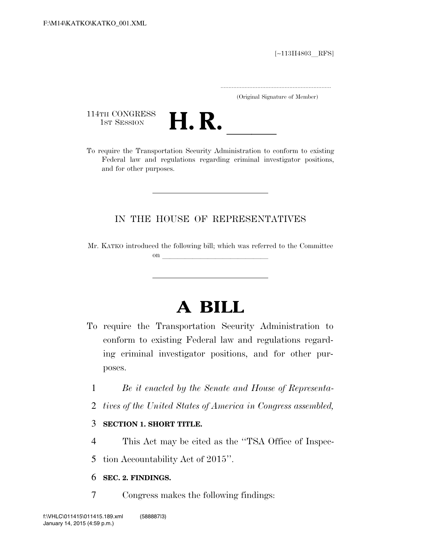[∼113H4803 RFS]

.....................................................................

(Original Signature of Member)

114TH CONGRESS<br>1st Session



114TH CONGRESS<br>1st SESSION **H. R.** <u>Internal To require the Transportation Security Administration to conform to existing</u> Federal law and regulations regarding criminal investigator positions, and for other purposes.

### IN THE HOUSE OF REPRESENTATIVES

Mr. KATKO introduced the following bill; which was referred to the Committee on  $\overline{\phantom{a}}$ 

# **A BILL**

- To require the Transportation Security Administration to conform to existing Federal law and regulations regarding criminal investigator positions, and for other purposes.
	- 1 *Be it enacted by the Senate and House of Representa-*
	- 2 *tives of the United States of America in Congress assembled,*

#### 3 **SECTION 1. SHORT TITLE.**

- 4 This Act may be cited as the ''TSA Office of Inspec-
- 5 tion Accountability Act of 2015''.

#### 6 **SEC. 2. FINDINGS.**

7 Congress makes the following findings: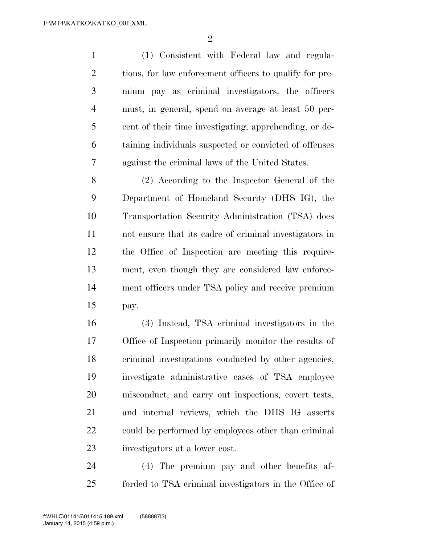$\mathfrak{D}$ 

 (1) Consistent with Federal law and regula-2 tions, for law enforcement officers to qualify for pre- mium pay as criminal investigators, the officers must, in general, spend on average at least 50 per- cent of their time investigating, apprehending, or de- taining individuals suspected or convicted of offenses against the criminal laws of the United States.

 (2) According to the Inspector General of the Department of Homeland Security (DHS IG), the Transportation Security Administration (TSA) does not ensure that its cadre of criminal investigators in the Office of Inspection are meeting this require- ment, even though they are considered law enforce- ment officers under TSA policy and receive premium pay.

 (3) Instead, TSA criminal investigators in the Office of Inspection primarily monitor the results of criminal investigations conducted by other agencies, investigate administrative cases of TSA employee misconduct, and carry out inspections, covert tests, and internal reviews, which the DHS IG asserts could be performed by employees other than criminal investigators at a lower cost.

 (4) The premium pay and other benefits af-forded to TSA criminal investigators in the Office of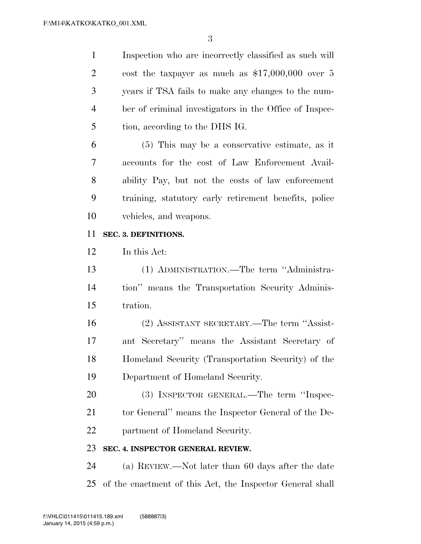Inspection who are incorrectly classified as such will cost the taxpayer as much as \$17,000,000 over 5 years if TSA fails to make any changes to the num- ber of criminal investigators in the Office of Inspec-tion, according to the DHS IG.

 (5) This may be a conservative estimate, as it accounts for the cost of Law Enforcement Avail- ability Pay, but not the costs of law enforcement training, statutory early retirement benefits, police vehicles, and weapons.

#### **SEC. 3. DEFINITIONS.**

In this Act:

 (1) ADMINISTRATION.—The term ''Administra- tion'' means the Transportation Security Adminis-tration.

 (2) ASSISTANT SECRETARY.—The term ''Assist- ant Secretary'' means the Assistant Secretary of Homeland Security (Transportation Security) of the Department of Homeland Security.

 (3) INSPECTOR GENERAL.—The term ''Inspec-21 tor General'' means the Inspector General of the De-partment of Homeland Security.

#### **SEC. 4. INSPECTOR GENERAL REVIEW.**

 (a) REVIEW.—Not later than 60 days after the date of the enactment of this Act, the Inspector General shall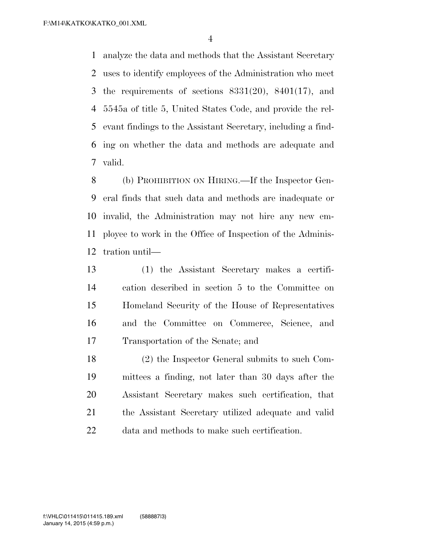analyze the data and methods that the Assistant Secretary uses to identify employees of the Administration who meet the requirements of sections 8331(20), 8401(17), and 5545a of title 5, United States Code, and provide the rel- evant findings to the Assistant Secretary, including a find- ing on whether the data and methods are adequate and valid.

 (b) PROHIBITION ON HIRING.—If the Inspector Gen- eral finds that such data and methods are inadequate or invalid, the Administration may not hire any new em- ployee to work in the Office of Inspection of the Adminis-tration until—

 (1) the Assistant Secretary makes a certifi- cation described in section 5 to the Committee on Homeland Security of the House of Representatives and the Committee on Commerce, Science, and Transportation of the Senate; and

 (2) the Inspector General submits to such Com- mittees a finding, not later than 30 days after the Assistant Secretary makes such certification, that the Assistant Secretary utilized adequate and valid data and methods to make such certification.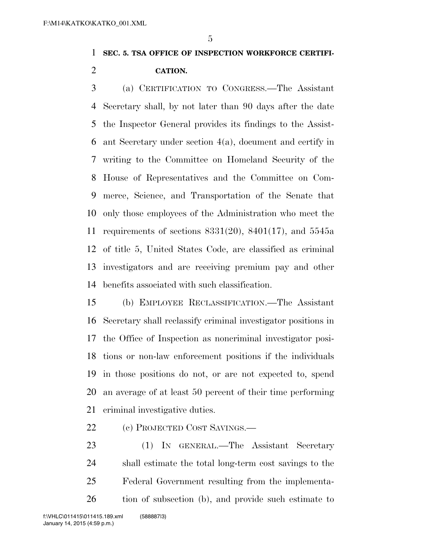## **SEC. 5. TSA OFFICE OF INSPECTION WORKFORCE CERTIFI-CATION.**

 (a) CERTIFICATION TO CONGRESS.—The Assistant Secretary shall, by not later than 90 days after the date the Inspector General provides its findings to the Assist- ant Secretary under section 4(a), document and certify in writing to the Committee on Homeland Security of the House of Representatives and the Committee on Com- merce, Science, and Transportation of the Senate that only those employees of the Administration who meet the requirements of sections 8331(20), 8401(17), and 5545a of title 5, United States Code, are classified as criminal investigators and are receiving premium pay and other benefits associated with such classification.

 (b) EMPLOYEE RECLASSIFICATION.—The Assistant Secretary shall reclassify criminal investigator positions in the Office of Inspection as noncriminal investigator posi- tions or non-law enforcement positions if the individuals in those positions do not, or are not expected to, spend an average of at least 50 percent of their time performing criminal investigative duties.

(c) PROJECTED COST SAVINGS.—

 (1) IN GENERAL.—The Assistant Secretary shall estimate the total long-term cost savings to the Federal Government resulting from the implementa-tion of subsection (b), and provide such estimate to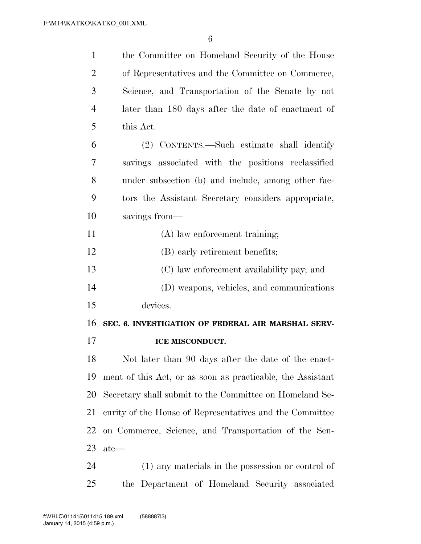| $\mathbf{1}$   | the Committee on Homeland Security of the House            |
|----------------|------------------------------------------------------------|
| $\overline{2}$ | of Representatives and the Committee on Commerce,          |
| 3              | Science, and Transportation of the Senate by not           |
| $\overline{4}$ | later than 180 days after the date of enactment of         |
| 5              | this Act.                                                  |
| 6              | (2) CONTENTS.—Such estimate shall identify                 |
| 7              | savings associated with the positions reclassified         |
| 8              | under subsection (b) and include, among other fac-         |
| 9              | tors the Assistant Secretary considers appropriate,        |
| 10             | savings from—                                              |
| 11             | (A) law enforcement training;                              |
| 12             | (B) early retirement benefits;                             |
| 13             | (C) law enforcement availability pay; and                  |
| 14             | (D) weapons, vehicles, and communications                  |
| 15             | devices.                                                   |
| 16             | SEC. 6. INVESTIGATION OF FEDERAL AIR MARSHAL SERV-         |
| 17             | ICE MISCONDUCT.                                            |
| 18             | Not later than 90 days after the date of the enact-        |
| 19             | ment of this Act, or as soon as practicable, the Assistant |
| 20             | Secretary shall submit to the Committee on Homeland Se-    |
| 21             | curity of the House of Representatives and the Committee   |
| 22             | on Commerce, Science, and Transportation of the Sen-       |
| 23             | $ate-$                                                     |
| 24             | (1) any materials in the possession or control of          |
| 25             | the Department of Homeland Security associated             |